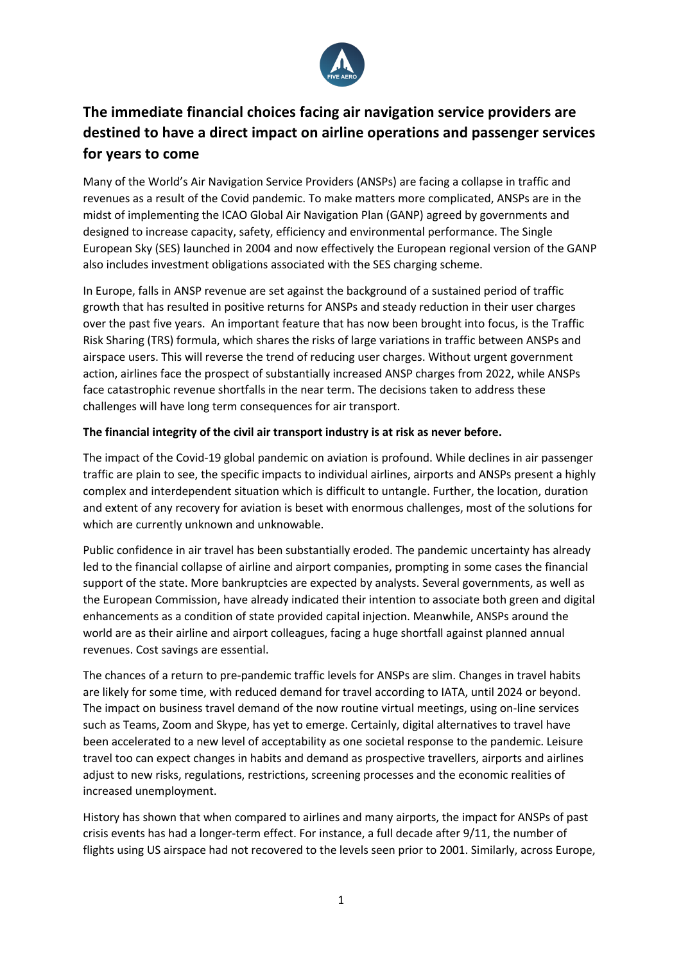

# **The immediate financial choices facing air navigation service providers are destined to have a direct impact on airline operations and passenger services for years to come**

Many of the World's Air Navigation Service Providers (ANSPs) are facing a collapse in traffic and revenues as a result of the Covid pandemic. To make matters more complicated, ANSPs are in the midst of implementing the ICAO Global Air Navigation Plan (GANP) agreed by governments and designed to increase capacity, safety, efficiency and environmental performance. The Single European Sky (SES) launched in 2004 and now effectively the European regional version of the GANP also includes investment obligations associated with the SES charging scheme.

In Europe, falls in ANSP revenue are set against the background of a sustained period of traffic growth that has resulted in positive returns for ANSPs and steady reduction in their user charges over the past five years. An important feature that has now been brought into focus, is the Traffic Risk Sharing (TRS) formula, which shares the risks of large variations in traffic between ANSPs and airspace users. This will reverse the trend of reducing user charges. Without urgent government action, airlines face the prospect of substantially increased ANSP charges from 2022, while ANSPs face catastrophic revenue shortfalls in the near term. The decisions taken to address these challenges will have long term consequences for air transport.

## **The financial integrity of the civil air transport industry is at risk as never before.**

The impact of the Covid-19 global pandemic on aviation is profound. While declines in air passenger traffic are plain to see, the specific impacts to individual airlines, airports and ANSPs present a highly complex and interdependent situation which is difficult to untangle. Further, the location, duration and extent of any recovery for aviation is beset with enormous challenges, most of the solutions for which are currently unknown and unknowable.

Public confidence in air travel has been substantially eroded. The pandemic uncertainty has already led to the financial collapse of airline and airport companies, prompting in some cases the financial support of the state. More bankruptcies are expected by analysts. Several governments, as well as the European Commission, have already indicated their intention to associate both green and digital enhancements as a condition of state provided capital injection. Meanwhile, ANSPs around the world are as their airline and airport colleagues, facing a huge shortfall against planned annual revenues. Cost savings are essential.

The chances of a return to pre-pandemic traffic levels for ANSPs are slim. Changes in travel habits are likely for some time, with reduced demand for travel according to IATA, until 2024 or beyond. The impact on business travel demand of the now routine virtual meetings, using on-line services such as Teams, Zoom and Skype, has yet to emerge. Certainly, digital alternatives to travel have been accelerated to a new level of acceptability as one societal response to the pandemic. Leisure travel too can expect changes in habits and demand as prospective travellers, airports and airlines adjust to new risks, regulations, restrictions, screening processes and the economic realities of increased unemployment.

History has shown that when compared to airlines and many airports, the impact for ANSPs of past crisis events has had a longer-term effect. For instance, a full decade after 9/11, the number of flights using US airspace had not recovered to the levels seen prior to 2001. Similarly, across Europe,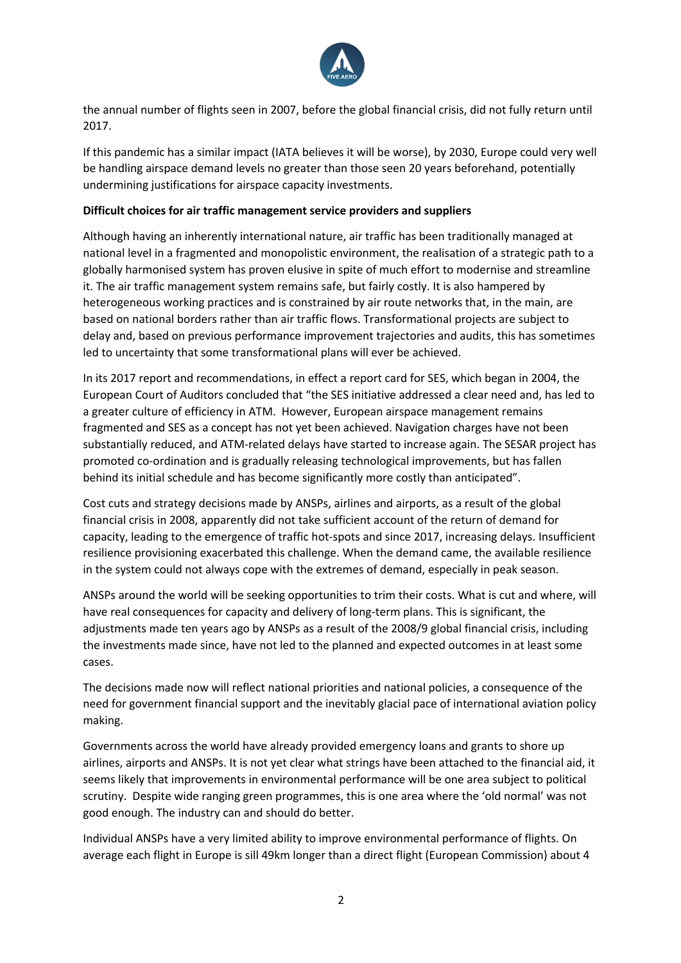

the annual number of flights seen in 2007, before the global financial crisis, did not fully return until 2017.

If this pandemic has a similar impact (IATA believes it will be worse), by 2030, Europe could very well be handling airspace demand levels no greater than those seen 20 years beforehand, potentially undermining justifications for airspace capacity investments.

## **Difficult choices for air traffic management service providers and suppliers**

Although having an inherently international nature, air traffic has been traditionally managed at national level in a fragmented and monopolistic environment, the realisation of a strategic path to a globally harmonised system has proven elusive in spite of much effort to modernise and streamline it. The air traffic management system remains safe, but fairly costly. It is also hampered by heterogeneous working practices and is constrained by air route networks that, in the main, are based on national borders rather than air traffic flows. Transformational projects are subject to delay and, based on previous performance improvement trajectories and audits, this has sometimes led to uncertainty that some transformational plans will ever be achieved.

In its 2017 report and recommendations, in effect a report card for SES, which began in 2004, the European Court of Auditors concluded that "the SES initiative addressed a clear need and, has led to a greater culture of efficiency in ATM. However, European airspace management remains fragmented and SES as a concept has not yet been achieved. Navigation charges have not been substantially reduced, and ATM-related delays have started to increase again. The SESAR project has promoted co-ordination and is gradually releasing technological improvements, but has fallen behind its initial schedule and has become significantly more costly than anticipated".

Cost cuts and strategy decisions made by ANSPs, airlines and airports, as a result of the global financial crisis in 2008, apparently did not take sufficient account of the return of demand for capacity, leading to the emergence of traffic hot-spots and since 2017, increasing delays. Insufficient resilience provisioning exacerbated this challenge. When the demand came, the available resilience in the system could not always cope with the extremes of demand, especially in peak season.

ANSPs around the world will be seeking opportunities to trim their costs. What is cut and where, will have real consequences for capacity and delivery of long-term plans. This is significant, the adjustments made ten years ago by ANSPs as a result of the 2008/9 global financial crisis, including the investments made since, have not led to the planned and expected outcomes in at least some cases.

The decisions made now will reflect national priorities and national policies, a consequence of the need for government financial support and the inevitably glacial pace of international aviation policy making.

Governments across the world have already provided emergency loans and grants to shore up airlines, airports and ANSPs. It is not yet clear what strings have been attached to the financial aid, it seems likely that improvements in environmental performance will be one area subject to political scrutiny. Despite wide ranging green programmes, this is one area where the 'old normal' was not good enough. The industry can and should do better.

Individual ANSPs have a very limited ability to improve environmental performance of flights. On average each flight in Europe is sill 49km longer than a direct flight (European Commission) about 4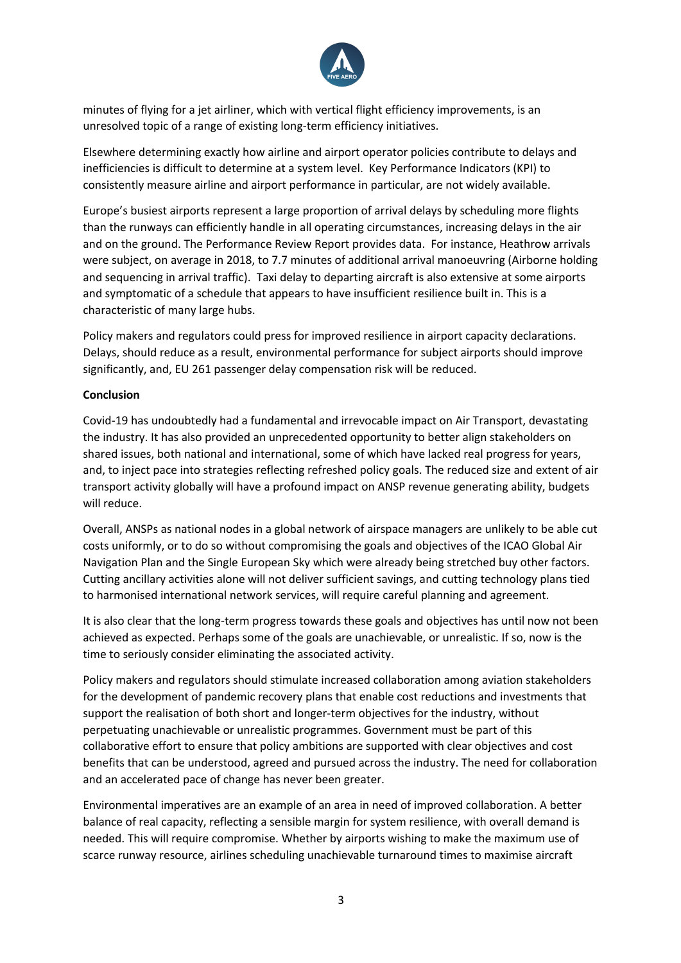

minutes of flying for a jet airliner, which with vertical flight efficiency improvements, is an unresolved topic of a range of existing long-term efficiency initiatives.

Elsewhere determining exactly how airline and airport operator policies contribute to delays and inefficiencies is difficult to determine at a system level. Key Performance Indicators (KPI) to consistently measure airline and airport performance in particular, are not widely available.

Europe's busiest airports represent a large proportion of arrival delays by scheduling more flights than the runways can efficiently handle in all operating circumstances, increasing delays in the air and on the ground. The Performance Review Report provides data. For instance, Heathrow arrivals were subject, on average in 2018, to 7.7 minutes of additional arrival manoeuvring (Airborne holding and sequencing in arrival traffic). Taxi delay to departing aircraft is also extensive at some airports and symptomatic of a schedule that appears to have insufficient resilience built in. This is a characteristic of many large hubs.

Policy makers and regulators could press for improved resilience in airport capacity declarations. Delays, should reduce as a result, environmental performance for subject airports should improve significantly, and, EU 261 passenger delay compensation risk will be reduced.

#### **Conclusion**

Covid-19 has undoubtedly had a fundamental and irrevocable impact on Air Transport, devastating the industry. It has also provided an unprecedented opportunity to better align stakeholders on shared issues, both national and international, some of which have lacked real progress for years, and, to inject pace into strategies reflecting refreshed policy goals. The reduced size and extent of air transport activity globally will have a profound impact on ANSP revenue generating ability, budgets will reduce.

Overall, ANSPs as national nodes in a global network of airspace managers are unlikely to be able cut costs uniformly, or to do so without compromising the goals and objectives of the ICAO Global Air Navigation Plan and the Single European Sky which were already being stretched buy other factors. Cutting ancillary activities alone will not deliver sufficient savings, and cutting technology plans tied to harmonised international network services, will require careful planning and agreement.

It is also clear that the long-term progress towards these goals and objectives has until now not been achieved as expected. Perhaps some of the goals are unachievable, or unrealistic. If so, now is the time to seriously consider eliminating the associated activity.

Policy makers and regulators should stimulate increased collaboration among aviation stakeholders for the development of pandemic recovery plans that enable cost reductions and investments that support the realisation of both short and longer-term objectives for the industry, without perpetuating unachievable or unrealistic programmes. Government must be part of this collaborative effort to ensure that policy ambitions are supported with clear objectives and cost benefits that can be understood, agreed and pursued across the industry. The need for collaboration and an accelerated pace of change has never been greater.

Environmental imperatives are an example of an area in need of improved collaboration. A better balance of real capacity, reflecting a sensible margin for system resilience, with overall demand is needed. This will require compromise. Whether by airports wishing to make the maximum use of scarce runway resource, airlines scheduling unachievable turnaround times to maximise aircraft